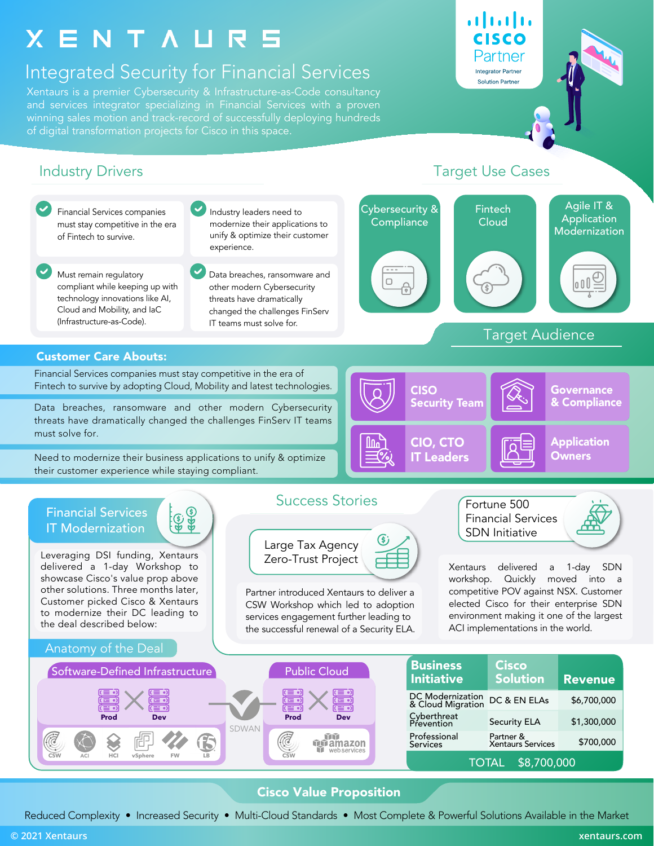# X E N T A U R 5

## Integrated Security for Financial Services

Xentaurs is a premier Cybersecurity & Infrastructure-as-Code consultancy and services integrator specializing in Financial Services with a proven winning sales motion and track-record of successfully deploying hundreds of digital transformation projects for Cisco in this space.

alnılı. CISCO Partner **Integrator Partner Solution Partner** 



### Cisco Value Proposition

Reduced Complexity • Increased Security • Multi-Cloud Standards • Most Complete & Powerful Solutions Available in the Market